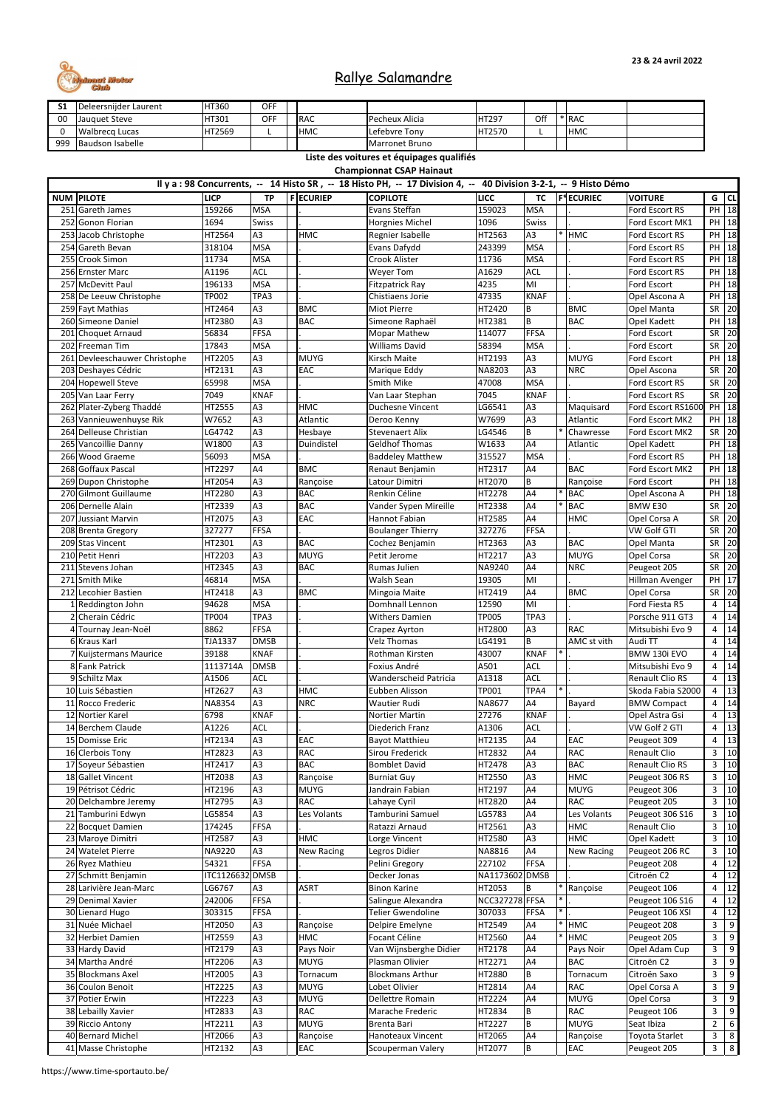| JI  | Deleersnijder Laurent   | HT360        | <b>OFF</b> |             |                        |        |     |            |  |
|-----|-------------------------|--------------|------------|-------------|------------------------|--------|-----|------------|--|
| 00  | <b>Uauguet Steve</b>    | <b>HT301</b> | <b>OFF</b> | <b>IRAC</b> | Pecheux Alicia         | HT297  | Off | * RAC      |  |
|     | <b>I</b> Walbrecg Lucas | HT2569       |            | <b>HMC</b>  | Lefebvre Tony          | HT2570 |     | <b>HMC</b> |  |
| 999 | Baudson Isabelle        |              |            |             | <b>IMarronet Bruno</b> |        |     |            |  |

|    | Il y a : 98 Concurrents, -- 14 Histo SR, -- 18 Histo PH, -- 17 Division 4, -- 40 Division 3-2-1, -- 9 Histo Démo |                 |                |  |                   |                          |                       |                |  |                   |                        |                |                |
|----|------------------------------------------------------------------------------------------------------------------|-----------------|----------------|--|-------------------|--------------------------|-----------------------|----------------|--|-------------------|------------------------|----------------|----------------|
|    | <b>NUM PILOTE</b>                                                                                                | <b>LICP</b>     | <b>TP</b>      |  | <b>F</b> ECURIEP  | <b>COPILOTE</b>          | <b>LICC</b>           | <b>TC</b>      |  | <b>F*ECURIEC</b>  | <b>VOITURE</b>         |                | $G$ CL         |
|    | 251 Gareth James                                                                                                 | 159266          | <b>MSA</b>     |  |                   | Evans Steffan            | 159023                | <b>MSA</b>     |  |                   | Ford Escort RS         |                | $PH$ 18        |
|    | 252 Gonon Florian                                                                                                | 1694            | <b>Swiss</b>   |  |                   | Horgnies Michel          | 1096                  | <b>Swiss</b>   |  |                   | Ford Escort MK1        |                | PH 18          |
|    | 253 Jacob Christophe                                                                                             | HT2564          | A3             |  | <b>HMC</b>        | Regnier Isabelle         | HT2563                | A3             |  | <b>HMC</b>        | Ford Escort RS         | PH             | 18             |
|    | 254 Gareth Bevan                                                                                                 | 318104          | <b>MSA</b>     |  |                   | Evans Dafydd             | 243399                | <b>MSA</b>     |  |                   | Ford Escort RS         |                | PH 18          |
|    | 255 Crook Simon                                                                                                  | 11734           | <b>MSA</b>     |  |                   | Crook Alister            | 11736                 | <b>MSA</b>     |  |                   | Ford Escort RS         | PH             | 18             |
|    | 256 Ernster Marc                                                                                                 | A1196           | <b>ACL</b>     |  |                   | <b>Weyer Tom</b>         | A1629                 | <b>ACL</b>     |  |                   | Ford Escort RS         | PH             | 18             |
|    | 257 McDevitt Paul                                                                                                | 196133          | <b>MSA</b>     |  |                   | <b>Fitzpatrick Ray</b>   | 4235                  | MI             |  |                   | Ford Escort            |                | PH 18          |
|    | 258 De Leeuw Christophe                                                                                          | TP002           | TPA3           |  |                   | Chistiaens Jorie         | 47335                 | <b>KNAF</b>    |  |                   | Opel Ascona A          | PH             | 18             |
|    | 259 Fayt Mathias                                                                                                 | HT2464          | A3             |  | <b>BMC</b>        | Miot Pierre              | HT2420                | B              |  | <b>BMC</b>        | Opel Manta             | SR             | 20             |
|    | 260 Simeone Daniel                                                                                               | HT2380          | A3             |  | <b>BAC</b>        | Simeone Raphaël          | HT2381                | B              |  | <b>BAC</b>        | Opel Kadett            | PH             | 18             |
|    | 201 Choquet Arnaud                                                                                               | 56834           | <b>FFSA</b>    |  |                   | <b>Mopar Mathew</b>      | 114077                | FFSA           |  |                   | Ford Escort            | SR             | 20             |
|    | 202 Freeman Tim                                                                                                  | 17843           | <b>MSA</b>     |  |                   | <b>Williams David</b>    | 58394                 | <b>MSA</b>     |  |                   | Ford Escort            | SR             | 20             |
|    | 261 Devleeschauwer Christophe                                                                                    | HT2205          | A3             |  | <b>MUYG</b>       | <b>Kirsch Maite</b>      | HT2193                | A3             |  | <b>MUYG</b>       | Ford Escort            | PH             | 18             |
|    | 203 Deshayes Cédric                                                                                              | HT2131          | A3             |  | EAC               | Marique Eddy             | NA8203                | A3             |  | <b>NRC</b>        | Opel Ascona            | SR             | 20             |
|    | 204 Hopewell Steve                                                                                               | 65998           | <b>MSA</b>     |  |                   | <b>Smith Mike</b>        | 47008                 | <b>MSA</b>     |  |                   | Ford Escort RS         | SR             | 20             |
|    | 205 Van Laar Ferry                                                                                               | 7049            | <b>KNAF</b>    |  |                   | Van Laar Stephan         | 7045                  | <b>KNAF</b>    |  |                   | Ford Escort RS         | SR             | 20             |
|    | 262 Plater-Zyberg Thaddé                                                                                         | HT2555          | A <sub>3</sub> |  | <b>HMC</b>        | Duchesne Vincent         | LG6541                | A <sub>3</sub> |  | Maquisard         | Ford Escort RS1600     |                | PH 18          |
|    | 263 Vannieuwenhuyse Rik                                                                                          | W7652           | A3             |  | Atlantic          | Deroo Kenny              | W7699                 | A <sub>3</sub> |  | Atlantic          | Ford Escort MK2        | PH             | 18             |
|    | 264 Delleuse Christian                                                                                           | LG4742          | A <sub>3</sub> |  | Hesbaye           | <b>Stevenaert Alix</b>   | LG4546                | B              |  | Chawresse         | Ford Escort MK2        | SR             | 20             |
|    | 265 Vancoillie Danny                                                                                             | W1800           | A3             |  | Duindistel        | <b>Geldhof Thomas</b>    | W1633                 | A4             |  | Atlantic          | Opel Kadett            | PH             | 18             |
|    | 266 Wood Graeme                                                                                                  | 56093           | <b>MSA</b>     |  |                   | <b>Baddeley Matthew</b>  | 315527                | <b>MSA</b>     |  |                   | Ford Escort RS         | PH             | 18             |
|    | 268 Goffaux Pascal                                                                                               | HT2297          | A <sub>4</sub> |  | <b>BMC</b>        | Renaut Benjamin          | HT2317                | A4             |  | <b>BAC</b>        | Ford Escort MK2        |                | PH 18          |
|    | 269 Dupon Christophe                                                                                             | HT2054          | A3             |  | Rançoise          | Latour Dimitri           | HT2070                | B              |  | Rançoise          | Ford Escort            | PH             | 18             |
|    | 270 Gilmont Guillaume                                                                                            | HT2280          | A <sub>3</sub> |  | <b>BAC</b>        | Renkin Céline            | HT2278                | A4             |  | <b>BAC</b>        | Opel Ascona A          | PH             | 18             |
|    | 206 Dernelle Alain                                                                                               | HT2339          | A3             |  | <b>BAC</b>        | Vander Sypen Mireille    | HT2338                | A4             |  | <b>BAC</b>        | BMW E30                | SR             | 20             |
|    | 207 Jussiant Marvin                                                                                              | HT2075          | A3             |  | EAC               | Hannot Fabian            | HT2585                | A4             |  | <b>HMC</b>        | Opel Corsa A           | SR             | 20             |
|    |                                                                                                                  | 327277          | <b>FFSA</b>    |  |                   |                          | 327276                | FFSA           |  |                   | <b>VW Golf GTI</b>     |                | $SR$ 20        |
|    | 208 Brenta Gregory                                                                                               |                 |                |  |                   | <b>Boulanger Thierry</b> |                       |                |  |                   |                        |                |                |
|    | 209 Stas Vincent                                                                                                 | HT2301          | A3             |  | <b>BAC</b>        | Cochez Benjamin          | HT2363                | A3             |  | <b>BAC</b>        | <b>Opel Manta</b>      | SR             | 20             |
|    | 210 Petit Henri                                                                                                  | HT2203          | A <sub>3</sub> |  | <b>MUYG</b>       | Petit Jerome             | HT2217                | A3             |  | <b>MUYG</b>       | <b>Opel Corsa</b>      |                | SR 20          |
|    | 211 Stevens Johan                                                                                                | HT2345          | A3             |  | <b>BAC</b>        | Rumas Julien             | NA9240                | A4             |  | <b>NRC</b>        | Peugeot 205            | SR             | 20             |
|    | 271 Smith Mike                                                                                                   | 46814           | <b>MSA</b>     |  |                   | Walsh Sean               | 19305                 | MI             |  |                   | Hillman Avenger        | PH             | 17             |
|    | 212 Lecohier Bastien                                                                                             | HT2418          | A <sub>3</sub> |  | <b>BMC</b>        | Mingoia Maite            | HT2419                | A4             |  | <b>BMC</b>        | Opel Corsa             | SR             | 20             |
|    | IReddington John                                                                                                 | 94628           | <b>MSA</b>     |  |                   | Domhnall Lennon          | 12590                 | MI             |  |                   | Ford Fiesta R5         | 4              | 14             |
|    | Cherain Cédric                                                                                                   | TP004           | TPA3           |  |                   | <b>Withers Damien</b>    | <b>TP005</b>          | TPA3           |  |                   | Porsche 911 GT3        | 4              | 14             |
|    | Tournay Jean-Noël                                                                                                | 8862            | <b>FFSA</b>    |  |                   | Crapez Ayrton            | HT2800                | A3             |  | <b>RAC</b>        | Mitsubishi Evo 9       | 4              | 14             |
|    | 6 Kraus Karl                                                                                                     | <b>TJA1337</b>  | <b>DMSB</b>    |  |                   | <b>Velz Thomas</b>       | LG4191                | B.             |  | AMC st vith       | Audi TT                | 4              | 14             |
|    | Kuijstermans Maurice                                                                                             | 39188           | <b>KNAF</b>    |  |                   | Rothman Kirsten          | 43007                 | <b>KNAF</b>    |  |                   | BMW 130i EVO           | 4              | 14             |
|    | 8 Fank Patrick                                                                                                   | 1113714A        | <b>DMSB</b>    |  |                   | Foxius André             | A501                  | <b>ACL</b>     |  |                   | Mitsubishi Evo 9       | 4              | 14             |
|    | 9 Schiltz Max                                                                                                    | A1506           | <b>ACL</b>     |  |                   | Wanderscheid Patricia    | A1318                 | <b>ACL</b>     |  |                   | <b>Renault Clio RS</b> | 4              | 13             |
|    | 10 Luis Sébastien                                                                                                | HT2627          | A3             |  | <b>HMC</b>        | Eubben Alisson           | TP001                 | TPA4           |  |                   | Skoda Fabia S2000      | 4              | 13             |
|    | 11 Rocco Frederic                                                                                                | <b>NA8354</b>   | A3             |  | <b>NRC</b>        | <b>Wautier Rudi</b>      | NA8677                | A4             |  | <b>Bayard</b>     | <b>BMW Compact</b>     | 4              | 14             |
|    | 12 Nortier Karel                                                                                                 | 6798            | <b>KNAF</b>    |  |                   | <b>Nortier Martin</b>    | 27276                 | <b>KNAF</b>    |  |                   | Opel Astra Gsi         | 4              | 13             |
|    | 14 Berchem Claude                                                                                                | A1226           | <b>ACL</b>     |  |                   | Diederich Franz          | A1306                 | <b>ACL</b>     |  |                   | VW Golf 2 GTI          | 4              | 13             |
|    | 15 Domisse Eric                                                                                                  | HT2134          | A <sub>3</sub> |  | EAC               | <b>Bayot Matthieu</b>    | HT2135                | A4             |  | <b>EAC</b>        | Peugeot 309            | 4              | 13             |
|    | 16 Clerbois Tony                                                                                                 | HT2823          | A <sub>3</sub> |  | <b>RAC</b>        | <b>Sirou Frederick</b>   | HT2832                | A4             |  | <b>RAC</b>        | <b>Renault Clio</b>    | 3              | 10             |
| 17 | Soyeur Sébastien                                                                                                 | HT2417          | A <sub>3</sub> |  | <b>BAC</b>        | <b>Bomblet David</b>     | HT2478                | A3             |  | <b>BAC</b>        | <b>Renault Clio RS</b> | 3              | $10\,$         |
|    | 18 Gallet Vincent                                                                                                | HT2038          | A <sub>3</sub> |  | Rançoise          | <b>Burniat Guy</b>       | HT2550                | A3             |  | <b>HMC</b>        | Peugeot 306 RS         | 3              | 10             |
|    | 19 Pétrisot Cédric                                                                                               | HT2196          | A3             |  | <b>MUYG</b>       | Jandrain Fabian          | HT2197                | A4             |  | <b>MUYG</b>       | Peugeot 306            | 3              | $10\,$         |
|    | 20 Delchambre Jeremy                                                                                             | HT2795          | A <sub>3</sub> |  | <b>RAC</b>        | Lahaye Cyril             | HT2820                | A4             |  | <b>RAC</b>        | Peugeot 205            | 3              | $10\,$         |
|    | 21 Tamburini Edwyn                                                                                               | LG5854          | A3             |  | Les Volants       | Tamburini Samuel         | LG5783                | A4             |  | Les Volants       | Peugeot 306 S16        | 3              | 10             |
|    | 22 Bocquet Damien                                                                                                | 174245          | <b>FFSA</b>    |  |                   | Ratazzi Arnaud           | HT2561                | A3             |  | <b>HMC</b>        | <b>Renault Clio</b>    | 3              | $10\,$         |
|    | 23 Maroye Dimitri                                                                                                | HT2587          | A <sub>3</sub> |  | <b>HMC</b>        | Lorge Vincent            | HT2580                | A3             |  | <b>HMC</b>        | Opel Kadett            | 3              | 10             |
|    | 24 Watelet Pierre                                                                                                | NA9220          | A3             |  | <b>New Racing</b> | Legros Didier            | NA8816                | A4             |  | <b>New Racing</b> | Peugeot 206 RC         | 3              | 10             |
|    | 26 Ryez Mathieu                                                                                                  | 54321           | <b>FFSA</b>    |  |                   | Pelini Gregory           | 227102                | <b>FFSA</b>    |  |                   | Peugeot 208            | 4              | 12             |
|    | 27 Schmitt Benjamin                                                                                              | ITC1126632 DMSB |                |  |                   | Decker Jonas             | NA1173602 DMSB        |                |  |                   | Citroën C2             | 4              | 12             |
|    | 28 Larivière Jean-Marc                                                                                           | LG6767          | A3             |  | <b>ASRT</b>       | <b>Binon Karine</b>      | HT2053                | B              |  | Rançoise          | Peugeot 106            | 4              | 12             |
|    | 29 Denimal Xavier                                                                                                | 242006          | <b>FFSA</b>    |  |                   | Salingue Alexandra       | <b>NCC327278 FFSA</b> |                |  |                   | Peugeot 106 S16        | 4              | 12             |
|    | 30 Lienard Hugo                                                                                                  | 303315          | <b>FFSA</b>    |  |                   | Telier Gwendoline        | 307033                | <b>FFSA</b>    |  |                   | Peugeot 106 XSI        | 4              | 12             |
|    | 31 Nuée Michael                                                                                                  | HT2050          | A3             |  | Rançoise          | Delpire Emelyne          | HT2549                | A4             |  | <b>HMC</b>        | Peugeot 208            | 3              | 9              |
|    | 32 Herbiet Damien                                                                                                | HT2559          | A3             |  | <b>HMC</b>        | Focant Céline            | HT2560                | A4             |  | <b>HMC</b>        | Peugeot 205            | 3              | 9              |
|    | 33 Hardy David                                                                                                   | HT2179          | A <sub>3</sub> |  | Pays Noir         | Van Wijnsberghe Didier   | HT2178                | A4             |  | Pays Noir         | Opel Adam Cup          | 3              | 9              |
|    | 34 Martha André                                                                                                  | HT2206          | A <sub>3</sub> |  | <b>MUYG</b>       | Plasman Olivier          | HT2271                | A4             |  | <b>BAC</b>        | Citroën C2             | 3              | 9              |
|    | 35 Blockmans Axel                                                                                                | HT2005          | A3             |  | Tornacum          | <b>Blockmans Arthur</b>  | HT2880                | B              |  | Tornacum          | Citroën Saxo           | 3              | 9              |
|    | 36 Coulon Benoit                                                                                                 | HT2225          | A <sub>3</sub> |  | <b>MUYG</b>       | Lobet Olivier            | HT2814                | A4             |  | <b>RAC</b>        | Opel Corsa A           | 3              | 9              |
|    | 37 Potier Erwin                                                                                                  | HT2223          | A3             |  | <b>MUYG</b>       | Dellettre Romain         | HT2224                | A4             |  | <b>MUYG</b>       | Opel Corsa             | 3              | 9              |
|    | 38 Lebailly Xavier                                                                                               | HT2833          | A3             |  | <b>RAC</b>        | Marache Frederic         | HT2834                | B              |  | <b>RAC</b>        | Peugeot 106            | 3              | 9              |
|    | 39 Riccio Antony                                                                                                 | HT2211          | A <sub>3</sub> |  | <b>MUYG</b>       | <b>Brenta Bari</b>       | HT2227                | $\sf B$        |  | <b>MUYG</b>       | Seat Ibiza             | $\overline{2}$ | 6              |
|    | 40 Bernard Michel                                                                                                | HT2066          | A3             |  | Rançoise          | <b>Hanoteaux Vincent</b> | HT2065                | A4             |  | Rançoise          | Toyota Starlet         | 3              | 8              |
|    | 41 Masse Christophe                                                                                              | HT2132          | A3             |  | EAC               | Scouperman Valery        | HT2077                | B              |  | EAC               | Peugeot 205            | $\mathbf{3}$   | $8\phantom{1}$ |
|    |                                                                                                                  |                 |                |  |                   |                          |                       |                |  |                   |                        |                |                |



# Rallye Salamandre

**Championnat CSAP Hainaut**

**Liste des voitures et équipages qualifiés**

https://www.time-sportauto.be/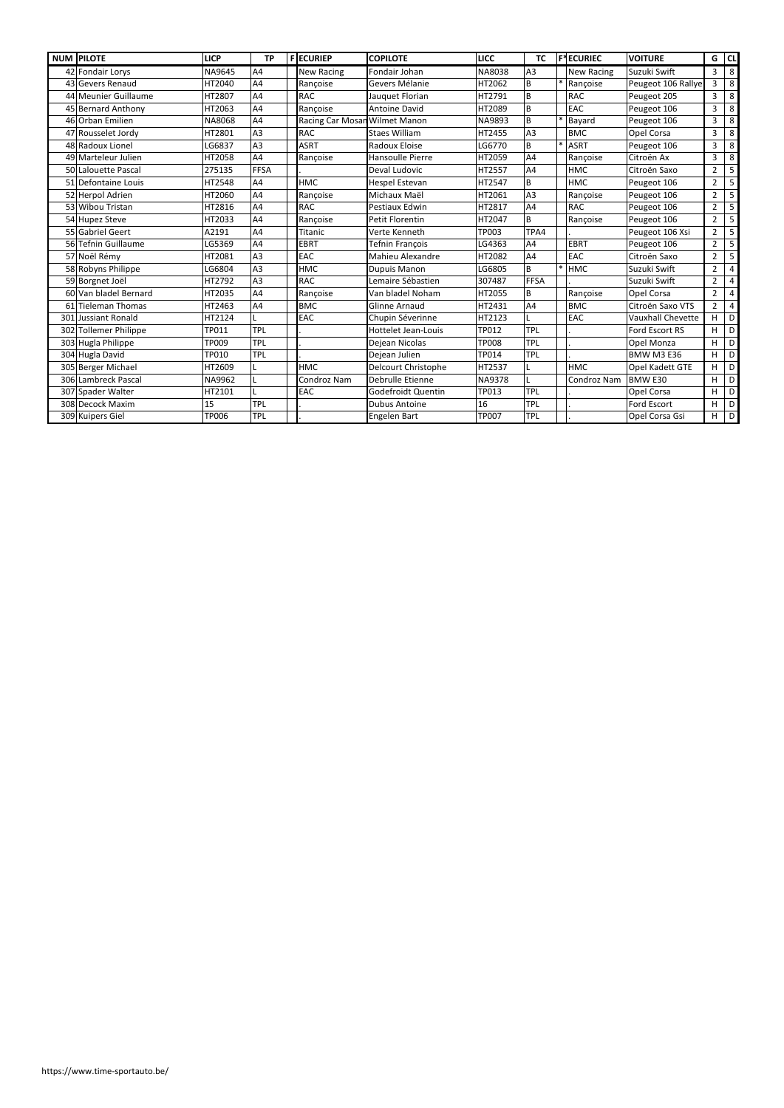|     | <b>NUM PILOTE</b>     | <b>LICP</b>   | <b>TP</b>      | <b>FECURIEP</b>               | <b>COPILOTE</b>        | LICC          | <b>TC</b>      | <b>F*ECURIEC</b>  | <b>VOITURE</b>           | G              | CL |
|-----|-----------------------|---------------|----------------|-------------------------------|------------------------|---------------|----------------|-------------------|--------------------------|----------------|----|
| 42  | Fondair Lorys         | <b>NA9645</b> | A4             | <b>New Racing</b>             | Fondair Johan          | <b>NA8038</b> | A <sub>3</sub> | <b>New Racing</b> | Suzuki Swift             | 3              | 8  |
|     | 43 Gevers Renaud      | HT2040        | A4             | Rançoise                      | Gevers Mélanie         | HT2062        | <b>B</b>       | Rançoise          | Peugeot 106 Rallye       | $\overline{3}$ | 8  |
|     | 44 Meunier Guillaume  | HT2807        | A4             | <b>RAC</b>                    | Jauquet Florian        | HT2791        | B              | <b>RAC</b>        | Peugeot 205              | 3              | 8  |
|     | 45 Bernard Anthony    | HT2063        | A4             | Rançoise                      | <b>Antoine David</b>   | HT2089        | l B            | EAC               | Peugeot 106              | $\overline{3}$ | 8  |
|     | 46 Orban Emilien      | NA8068        | A4             | Racing Car Mosan Wilmet Manon |                        | NA9893        | l B            | Bayard            | Peugeot 106              | 3              | 8  |
|     | 47 Rousselet Jordy    | HT2801        | A <sub>3</sub> | <b>RAC</b>                    | <b>Staes William</b>   | HT2455        | A <sub>3</sub> | <b>BMC</b>        | Opel Corsa               | 3              | 8  |
|     | 48 Radoux Lionel      | LG6837        | A3             | <b>ASRT</b>                   | Radoux Eloise          | LG6770        | B              | <b>ASRT</b>       | Peugeot 106              | 3              | 8  |
|     | 49 Marteleur Julien   | HT2058        | A4             | Rançoise                      | Hansoulle Pierre       | HT2059        | A4             | Rançoise          | Citroën Ax               | 3              | 8  |
|     | 50 Lalouette Pascal   | 275135        | <b>FFSA</b>    |                               | Deval Ludovic          | HT2557        | A4             | <b>HMC</b>        | Citroën Saxo             | $\overline{2}$ | 5  |
|     | 51 Defontaine Louis   | HT2548        | A4             | <b>HMC</b>                    | <b>Hespel Estevan</b>  | HT2547        | B              | <b>HMC</b>        | Peugeot 106              | $\overline{2}$ | 5  |
|     | 52 Herpol Adrien      | HT2060        | AA             | Rançoise                      | Michaux Maël           | HT2061        | A <sub>3</sub> | Rançoise          | Peugeot 106              | $\overline{2}$ | 5  |
|     | 53 Wibou Tristan      | HT2816        | A4             | <b>RAC</b>                    | Pestiaux Edwin         | HT2817        | A <sub>4</sub> | <b>RAC</b>        | Peugeot 106              | $\overline{2}$ | 5  |
|     | 54 Hupez Steve        | HT2033        | A4             | Rançoise                      | <b>Petit Florentin</b> | HT2047        | B              | Rançoise          | Peugeot 106              | $\overline{2}$ | 5  |
|     | 55 Gabriel Geert      | A2191         | A4             | Titanic                       | Verte Kenneth          | TP003         | TPA4           |                   | Peugeot 106 Xsi          | $\overline{2}$ | 5  |
|     | 56 Tefnin Guillaume   | LG5369        | A4             | <b>EBRT</b>                   | Tefnin François        | LG4363        | A <sub>4</sub> | <b>EBRT</b>       | Peugeot 106              | $\overline{2}$ | 5  |
|     | 57 Noël Rémy          | HT2081        | A3             | EAC                           | Mahieu Alexandre       | HT2082        | A4             | EAC               | Citroën Saxo             | $\overline{2}$ | 5  |
|     | 58 Robyns Philippe    | LG6804        | A3             | <b>HMC</b>                    | <b>Dupuis Manon</b>    | LG6805        | l B            | <b>HMC</b>        | Suzuki Swift             | $\overline{2}$ | 4  |
|     | 59 Borgnet Joël       | HT2792        | A3             | <b>RAC</b>                    | Lemaire Sébastien      | 307487        | FFSA           |                   | Suzuki Swift             | $\overline{2}$ | 4  |
|     | 60 Van bladel Bernard | HT2035        | A4             | Rançoise                      | Van bladel Noham       | HT2055        | l B            | Rançoise          | Opel Corsa               | $\overline{2}$ | 4  |
|     | 61 Tieleman Thomas    | HT2463        | A4             | <b>BMC</b>                    | <b>Glinne Arnaud</b>   | HT2431        | A4             | <b>BMC</b>        | Citroën Saxo VTS         | $\overline{2}$ | 4  |
| 301 | Jussiant Ronald       | HT2124        |                | EAC                           | Chupin Séverinne       | HT2123        | L              | EAC               | <b>Vauxhall Chevette</b> | H              | D  |
|     | 302 Tollemer Philippe | TP011         | <b>TPL</b>     |                               | Hottelet Jean-Louis    | <b>TP012</b>  | <b>TPL</b>     |                   | Ford Escort RS           | H.             | D  |
|     | 303 Hugla Philippe    | TP009         | <b>TPL</b>     |                               | Dejean Nicolas         | <b>TP008</b>  | <b>TPL</b>     |                   | Opel Monza               | H              | D  |
|     | 304 Hugla David       | TP010         | <b>TPL</b>     |                               | Dejean Julien          | TP014         | <b>TPL</b>     |                   | <b>BMW M3 E36</b>        | H              | D  |
|     | 305 Berger Michael    | HT2609        |                | <b>HMC</b>                    | Delcourt Christophe    | HT2537        | L              | <b>HMC</b>        | Opel Kadett GTE          | H              | D  |
|     | 306 Lambreck Pascal   | NA9962        |                | Condroz Nam                   | Debrulle Etienne       | <b>NA9378</b> | L              | Condroz Nam       | <b>BMW E30</b>           | H              | D  |
|     | 307 Spader Walter     | HT2101        |                | <b>EAC</b>                    | Godefroidt Quentin     | TP013         | <b>TPL</b>     |                   | Opel Corsa               | H              | D  |
|     | 308 Decock Maxim      | 15            | <b>TPL</b>     |                               | <b>Dubus Antoine</b>   | 16            | TPL            |                   | Ford Escort              | H              | D  |
|     | 309 Kuipers Giel      | <b>TP006</b>  | <b>TPL</b>     |                               | Engelen Bart           | <b>TP007</b>  | <b>TPL</b>     |                   | Opel Corsa Gsi           | H              | D  |

https://www.time-sportauto.be/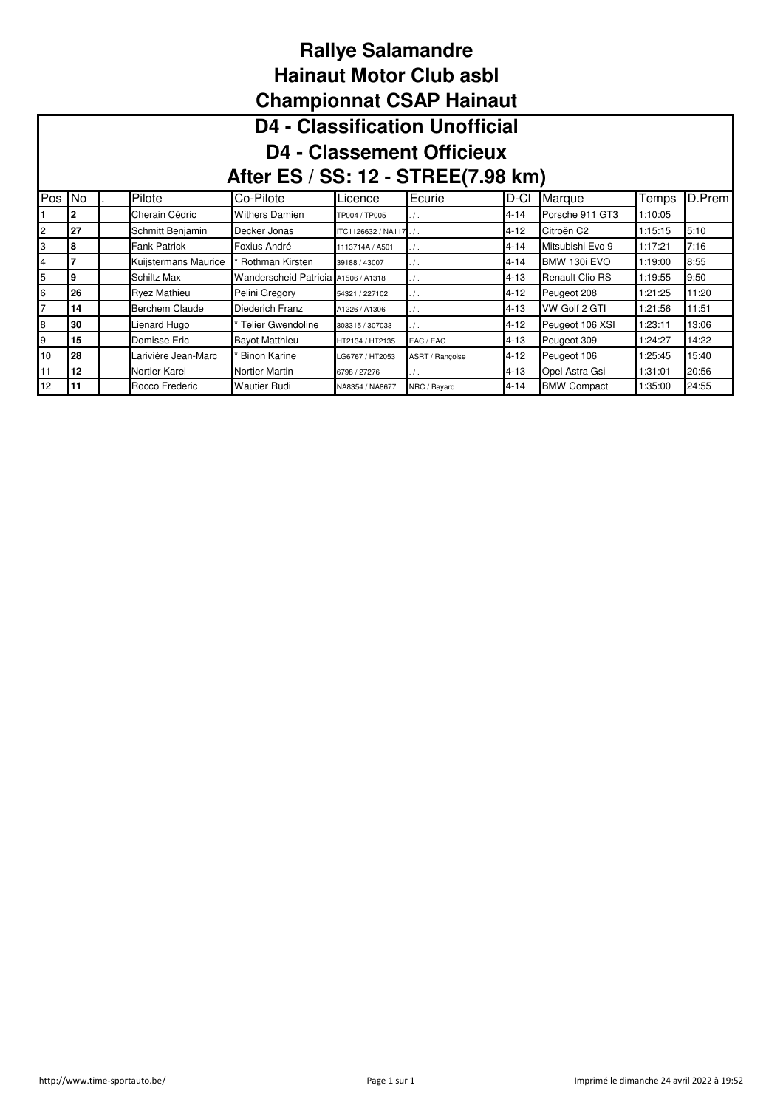|     | Championnat CSAP Hainaut              |  |                       |                                     |                        |                 |          |                        |         |        |  |  |  |  |
|-----|---------------------------------------|--|-----------------------|-------------------------------------|------------------------|-----------------|----------|------------------------|---------|--------|--|--|--|--|
|     | <b>D4 - Classification Unofficial</b> |  |                       |                                     |                        |                 |          |                        |         |        |  |  |  |  |
|     | <b>D4 - Classement Officieux</b>      |  |                       |                                     |                        |                 |          |                        |         |        |  |  |  |  |
|     | After ES / SS: 12 - STREE(7.98 km)    |  |                       |                                     |                        |                 |          |                        |         |        |  |  |  |  |
| Pos | No.                                   |  | Pilote                | Co-Pilote                           | Licence                | Ecurie          | D-CI     | Marque                 | Temps   | D.Prem |  |  |  |  |
|     | 2                                     |  | Cherain Cédric        | <b>Withers Damien</b>               | TP004 / TP005          | 7.              | 4-14     | Porsche 911 GT3        | 1:10:05 |        |  |  |  |  |
| 2   | 27                                    |  | Schmitt Benjamin      | Decker Jonas                        | ITC1126632 / NA117. /. |                 | 4-12     | Citroën C <sub>2</sub> | 1:15:15 | 5:10   |  |  |  |  |
| 3   | 8                                     |  | <b>Fank Patrick</b>   | Foxius André                        | 1113714A / A501        |                 | $4 - 14$ | Mitsubishi Evo 9       | 1:17:21 | 7:16   |  |  |  |  |
| 4   | 7                                     |  | Kuijstermans Maurice  | Rothman Kirsten                     | 39188 / 43007          |                 | $4 - 14$ | BMW 130i EVO           | 1:19:00 | 8:55   |  |  |  |  |
| 5   | 9                                     |  | Schiltz Max           | Wanderscheid Patricia A1506 / A1318 |                        |                 | 4-13     | <b>Renault Clio RS</b> | 1:19:55 | 9:50   |  |  |  |  |
| 6   | 26                                    |  | <b>Ryez Mathieu</b>   | Pelini Gregory                      | 54321 / 227102         | 7.              | $4 - 12$ | Peugeot 208            | 1:21:25 | 11:20  |  |  |  |  |
| 7   | 14                                    |  | <b>Berchem Claude</b> | Diederich Franz                     | A1226 / A1306          | $\prime$ .      | $4 - 13$ | VW Golf 2 GTI          | 1:21:56 | 11:51  |  |  |  |  |
| 8   | 30                                    |  | Lienard Hugo          | Telier Gwendoline                   | 303315 / 307033        | $\prime$ .      | $4 - 12$ | Peugeot 106 XSI        | 1:23:11 | 13:06  |  |  |  |  |
| 9   | 15                                    |  | Domisse Eric          | <b>Bayot Matthieu</b>               | HT2134 / HT2135        | EAC / EAC       | $4 - 13$ | Peugeot 309            | 1:24:27 | 14:22  |  |  |  |  |
| 10  | 28                                    |  | Larivière Jean-Marc   | <b>Binon Karine</b>                 | LG6767 / HT2053        | ASRT / Rancoise | 4-12     | Peugeot 106            | 1:25:45 | 15:40  |  |  |  |  |
| 11  | 12                                    |  | Nortier Karel         | Nortier Martin                      | 6798 / 27276           |                 | 4-13     | Opel Astra Gsi         | 1:31:01 | 20:56  |  |  |  |  |
| 12  | 11                                    |  | Rocco Frederic        | <b>Wautier Rudi</b>                 | NA8354 / NA8677        | NRC / Bayard    | $4 - 14$ | <b>BMW Compact</b>     | 1:35:00 | 24:55  |  |  |  |  |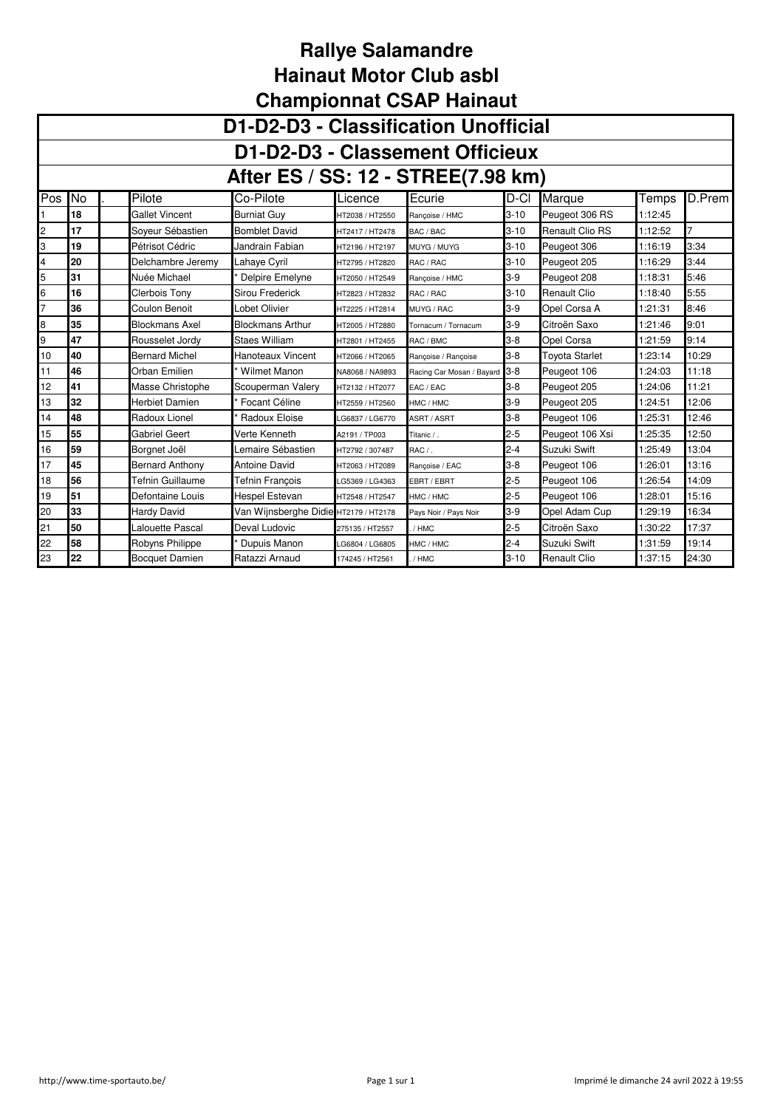|                | <b>UNIQUIDIUMINAL USAF HAMADUL</b> |                        |                                       |                 |                               |          |                       |         |        |  |  |  |  |
|----------------|------------------------------------|------------------------|---------------------------------------|-----------------|-------------------------------|----------|-----------------------|---------|--------|--|--|--|--|
|                |                                    |                        | D1-D2-D3 - Classification Unofficial  |                 |                               |          |                       |         |        |  |  |  |  |
|                | D1-D2-D3 - Classement Officieux    |                        |                                       |                 |                               |          |                       |         |        |  |  |  |  |
|                | After ES / SS: 12 - STREE(7.98 km) |                        |                                       |                 |                               |          |                       |         |        |  |  |  |  |
| Pos            | N <sub>o</sub>                     | Pilote                 | Co-Pilote                             | Licence         | Ecurie                        | D-CI     | Marque                | Temps   | D.Prem |  |  |  |  |
|                | 18                                 | Gallet Vincent         | <b>Burniat Guy</b>                    | HT2038 / HT2550 | Rancoise / HMC                | $3 - 10$ | Peugeot 306 RS        | 1:12:45 |        |  |  |  |  |
| 2              | 17                                 | Soyeur Sébastien       | <b>Bomblet David</b>                  | HT2417 / HT2478 | BAC / BAC                     | $3 - 10$ | Renault Clio RS       | 1:12:52 |        |  |  |  |  |
| 3              | 19                                 | Pétrisot Cédric        | Jandrain Fabian                       | HT2196 / HT2197 | MUYG / MUYG                   | $3 - 10$ | Peugeot 306           | 1:16:19 | 3:34   |  |  |  |  |
| 4              | 20                                 | Delchambre Jeremy      | Lahaye Cyril                          | HT2795 / HT2820 | RAC / RAC                     | $3 - 10$ | Peugeot 205           | 1:16:29 | 3:44   |  |  |  |  |
| 5              | 31                                 | Nuée Michael           | Delpire Emelyne                       | HT2050 / HT2549 | Rancoise / HMC                | $3-9$    | Peugeot 208           | 1:18:31 | 5:46   |  |  |  |  |
| 6              | 16                                 | <b>Clerbois Tony</b>   | Sirou Frederick                       | HT2823 / HT2832 | RAC / RAC                     | $3 - 10$ | <b>Renault Clio</b>   | 1:18:40 | 5:55   |  |  |  |  |
| $\overline{7}$ | 36                                 | Coulon Benoit          | Lobet Olivier                         | HT2225 / HT2814 | MUYG / RAC                    | $3-9$    | Opel Corsa A          | 1:21:31 | 8:46   |  |  |  |  |
| 8              | 35                                 | <b>Blockmans Axel</b>  | <b>Blockmans Arthur</b>               | HT2005 / HT2880 | Tornacum / Tornacum           | $3-9$    | Citroën Saxo          | 1:21:46 | 9:01   |  |  |  |  |
| 9              | 47                                 | Rousselet Jordy        | Staes William                         | HT2801 / HT2455 | RAC / BMC                     | $3 - 8$  | Opel Corsa            | 1:21:59 | 9:14   |  |  |  |  |
| 10             | 40                                 | <b>Bernard Michel</b>  | Hanoteaux Vincent                     | HT2066 / HT2065 | Rancoise / Rancoise           | $3 - 8$  | <b>Toyota Starlet</b> | 1:23:14 | 10:29  |  |  |  |  |
| 11             | 46                                 | Orban Emilien          | <b>Wilmet Manon</b>                   | NA8068 / NA9893 | Racing Car Mosan / Bayard 3-8 |          | Peugeot 106           | 1:24:03 | 11:18  |  |  |  |  |
| 12             | 41                                 | Masse Christophe       | Scouperman Valery                     | HT2132 / HT2077 | EAC / EAC                     | $3 - 8$  | Peugeot 205           | 1:24:06 | 11:21  |  |  |  |  |
| 13             | 32                                 | Herbiet Damien         | Focant Céline                         | HT2559 / HT2560 | HMC / HMC                     | $3-9$    | Peugeot 205           | 1:24:51 | 12:06  |  |  |  |  |
| 14             | 48                                 | Radoux Lionel          | Radoux Eloise                         | G6837 / LG6770  | ASRT / ASRT                   | $3 - 8$  | Peugeot 106           | 1:25:31 | 12:46  |  |  |  |  |
| 15             | 55                                 | Gabriel Geert          | Verte Kenneth                         | A2191 / TP003   | Titanic / .                   | $2 - 5$  | Peugeot 106 Xsi       | 1:25:35 | 12:50  |  |  |  |  |
| 16             | 59                                 | Borgnet Joël           | Lemaire Sébastien                     | HT2792 / 307487 | RAC / .                       | $2 - 4$  | Suzuki Swift          | 1:25:49 | 13:04  |  |  |  |  |
| 17             | 45                                 | <b>Bernard Anthony</b> | Antoine David                         | HT2063 / HT2089 | Rançoise / EAC                | $3 - 8$  | Peugeot 106           | 1:26:01 | 13:16  |  |  |  |  |
| 18             | 56                                 | Tefnin Guillaume       | Tefnin Francois                       | LG5369 / LG4363 | EBRT / EBRT                   | $2 - 5$  | Peugeot 106           | 1:26:54 | 14:09  |  |  |  |  |
| 19             | 51                                 | Defontaine Louis       | Hespel Estevan                        | HT2548 / HT2547 | HMC / HMC                     | $2 - 5$  | Peugeot 106           | 1:28:01 | 15:16  |  |  |  |  |
| 20             | 33                                 | <b>Hardy David</b>     | Van Wijnsberghe Didie HT2179 / HT2178 |                 | Pays Noir / Pays Noir         | $3-9$    | Opel Adam Cup         | 1:29:19 | 16:34  |  |  |  |  |
| 21             | 50                                 | Lalouette Pascal       | Deval Ludovic                         | 275135 / HT2557 | / HMC                         | $2 - 5$  | Citroën Saxo          | 1:30:22 | 17:37  |  |  |  |  |
| 22             | 58                                 | Robyns Philippe        | Dupuis Manon                          | LG6804 / LG6805 | HMC / HMC                     | $2 - 4$  | Suzuki Swift          | 1:31:59 | 19:14  |  |  |  |  |
| 23             | 22                                 | <b>Bocquet Damien</b>  | Ratazzi Arnaud                        | 174245 / HT2561 | / HMC                         | $3 - 10$ | <b>Renault Clio</b>   | 1:37:15 | 24:30  |  |  |  |  |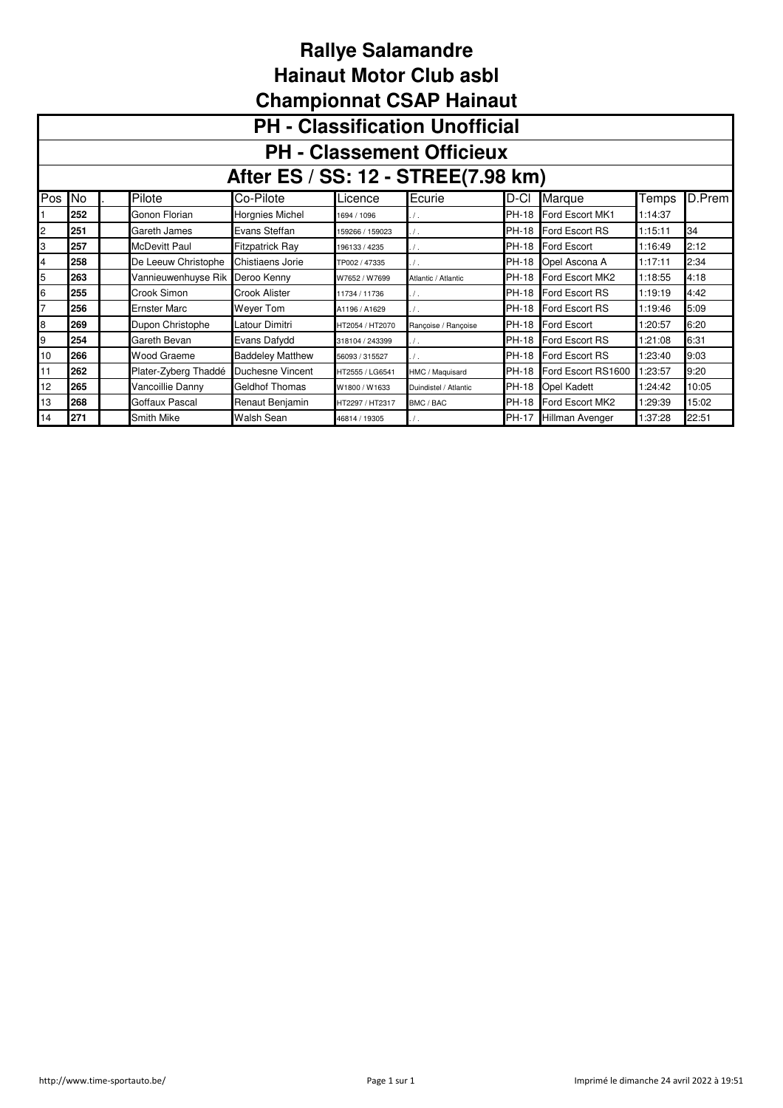|                | Championnat CSAP Hainaut              |  |                      |                         |                 |                       |              |                      |         |        |  |  |  |
|----------------|---------------------------------------|--|----------------------|-------------------------|-----------------|-----------------------|--------------|----------------------|---------|--------|--|--|--|
|                | <b>PH - Classification Unofficial</b> |  |                      |                         |                 |                       |              |                      |         |        |  |  |  |
|                | <b>PH - Classement Officieux</b>      |  |                      |                         |                 |                       |              |                      |         |        |  |  |  |
|                | After ES / SS: 12 - STREE(7.98 km)    |  |                      |                         |                 |                       |              |                      |         |        |  |  |  |
| Pos            | No                                    |  | Pilote               | Co-Pilote               | Licence         | Ecurie                | D-CI         | Marque               | Temps   | D.Prem |  |  |  |
|                | 252                                   |  | Gonon Florian        | Horgnies Michel         | 1694 / 1096     |                       | <b>PH-18</b> | Ford Escort MK1      | 1:14:37 |        |  |  |  |
| 2              | 251                                   |  | Gareth James         | Evans Steffan           | 159266 / 159023 | . / .                 |              | PH-18 Ford Escort RS | 1:15:11 | 34     |  |  |  |
| 3              | 257                                   |  | <b>McDevitt Paul</b> | <b>Fitzpatrick Ray</b>  | 196133 / 4235   | $\prime$ .            |              | PH-18 Ford Escort    | 1:16:49 | 2:12   |  |  |  |
| 4              | 258                                   |  | De Leeuw Christophe  | Chistiaens Jorie        | TP002 / 47335   | $\prime$ .            | <b>PH-18</b> | Opel Ascona A        | 1:17:11 | 2:34   |  |  |  |
| 5              | 263                                   |  | Vannieuwenhuyse Rik  | Deroo Kenny             | W7652 / W7699   | Atlantic / Atlantic   | PH-18        | Ford Escort MK2      | 1:18:55 | 4:18   |  |  |  |
| 6              | 255                                   |  | Crook Simon          | Crook Alister           | 11734 / 11736   | $\cdot$ / $\cdot$     |              | PH-18 Ford Escort RS | 1:19:19 | 4:42   |  |  |  |
| $\overline{7}$ | 256                                   |  | <b>Ernster Marc</b>  | Weyer Tom               | A1196 / A1629   |                       |              | PH-18 Ford Escort RS | 1:19:46 | 5:09   |  |  |  |
| 8              | 269                                   |  | Dupon Christophe     | Latour Dimitri          | HT2054 / HT2070 | Rancoise / Rancoise   |              | PH-18 Ford Escort    | 1:20:57 | 6:20   |  |  |  |
| 9              | 254                                   |  | Gareth Bevan         | Evans Dafydd            | 318104 / 243399 |                       | <b>PH-18</b> | Ford Escort RS       | 1:21:08 | 6:31   |  |  |  |
| 10             | 266                                   |  | Wood Graeme          | <b>Baddeley Matthew</b> | 56093 / 315527  | $\cdot$ / $\cdot$     |              | PH-18 Ford Escort RS | 1:23:40 | 9:03   |  |  |  |
| 11             | 262                                   |  | Plater-Zyberg Thaddé | Duchesne Vincent        | HT2555 / LG6541 | HMC / Maquisard       | PH-18        | Ford Escort RS1600   | 1:23:57 | 9:20   |  |  |  |
| 12             | 265                                   |  | Vancoillie Danny     | Geldhof Thomas          | W1800 / W1633   | Duindistel / Atlantic | <b>PH-18</b> | <b>Opel Kadett</b>   | 1:24:42 | 10:05  |  |  |  |
| 13             | 268                                   |  | Goffaux Pascal       | Renaut Benjamin         | HT2297 / HT2317 | BMC / BAC             | <b>PH-18</b> | Ford Escort MK2      | 1:29:39 | 15:02  |  |  |  |
| 14             | 271                                   |  | Smith Mike           | Walsh Sean              | 46814 / 19305   | $\cdot$ / $\cdot$     | PH-17        | Hillman Avenger      | 1:37:28 | 22:51  |  |  |  |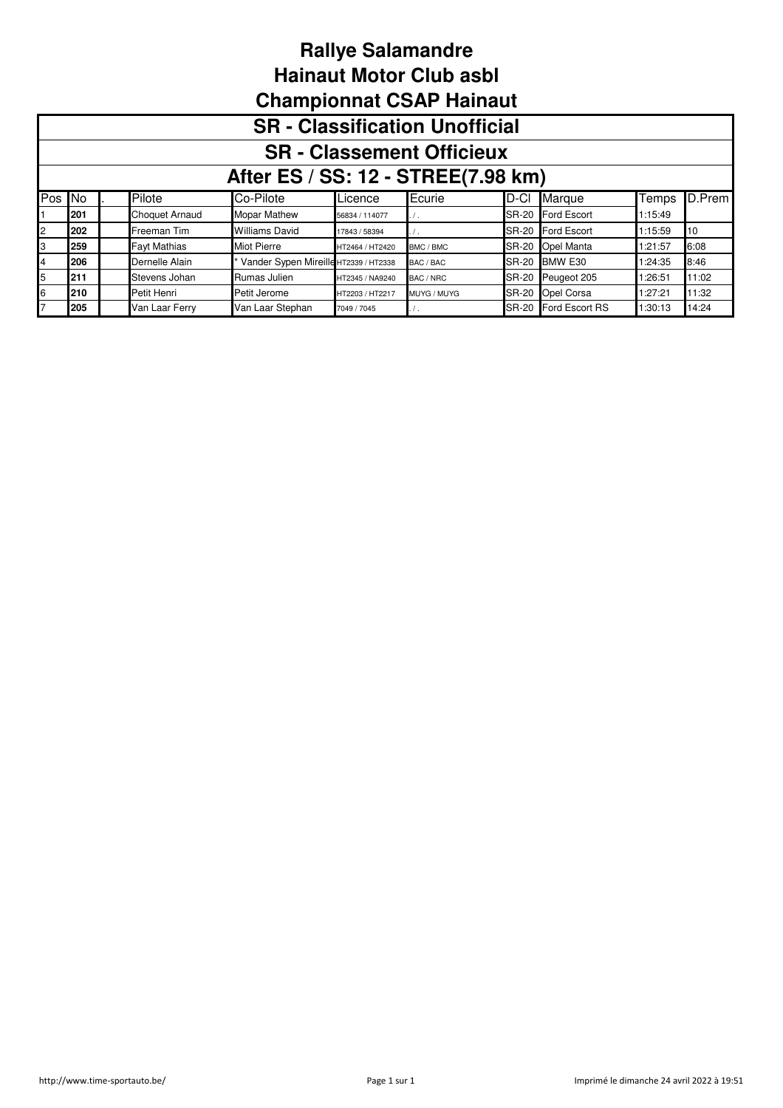|              | Championnal CSAP Hamaul               |  |                       |                                       |                 |             |              |                      |         |        |  |  |  |
|--------------|---------------------------------------|--|-----------------------|---------------------------------------|-----------------|-------------|--------------|----------------------|---------|--------|--|--|--|
|              | <b>SR</b> - Classification Unofficial |  |                       |                                       |                 |             |              |                      |         |        |  |  |  |
|              | <b>SR</b> - Classement Officieux      |  |                       |                                       |                 |             |              |                      |         |        |  |  |  |
|              | After ES / SS: 12 - STREE(7.98 km)    |  |                       |                                       |                 |             |              |                      |         |        |  |  |  |
| Pos No       |                                       |  | Pilote                | Co-Pilote                             | Licence         | Ecurie      | D-CI         | Marque               | Temps   | D.Prem |  |  |  |
|              | 201                                   |  | <b>Choquet Arnaud</b> | <b>Mopar Mathew</b>                   | 56834 / 114077  | $\prime$ .  | <b>SR-20</b> | <b>Ford Escort</b>   | 1:15:49 |        |  |  |  |
| $\mathbf{2}$ | 202                                   |  | Freeman Tim           | <b>Williams David</b>                 | 17843 / 58394   | . / .       | SR-20        | <b>Ford Escort</b>   | 1:15:59 | 10     |  |  |  |
| IЗ           | 259                                   |  | <b>Fayt Mathias</b>   | <b>Miot Pierre</b>                    | HT2464 / HT2420 | BMC / BMC   |              | SR-20 Opel Manta     | 1:21:57 | 6:08   |  |  |  |
| 4            | 206                                   |  | Dernelle Alain        | Vander Sypen Mireille HT2339 / HT2338 |                 | BAC / BAC   | <b>SR-20</b> | BMW E30              | 1:24:35 | 8:46   |  |  |  |
| 5            | 211                                   |  | Stevens Johan         | Rumas Julien                          | HT2345 / NA9240 | BAC / NRC   | <b>SR-20</b> | Peugeot 205          | 1:26:51 | 11:02  |  |  |  |
| 6            | 210                                   |  | Petit Henri           | Petit Jerome                          | HT2203 / HT2217 | MUYG / MUYG |              | SR-20 Opel Corsa     | 1:27:21 | 11:32  |  |  |  |
|              | 205                                   |  | Van Laar Ferry        | Van Laar Stephan                      | 7049 / 7045     | .           |              | SR-20 Ford Escort RS | 1:30:13 | 14:24  |  |  |  |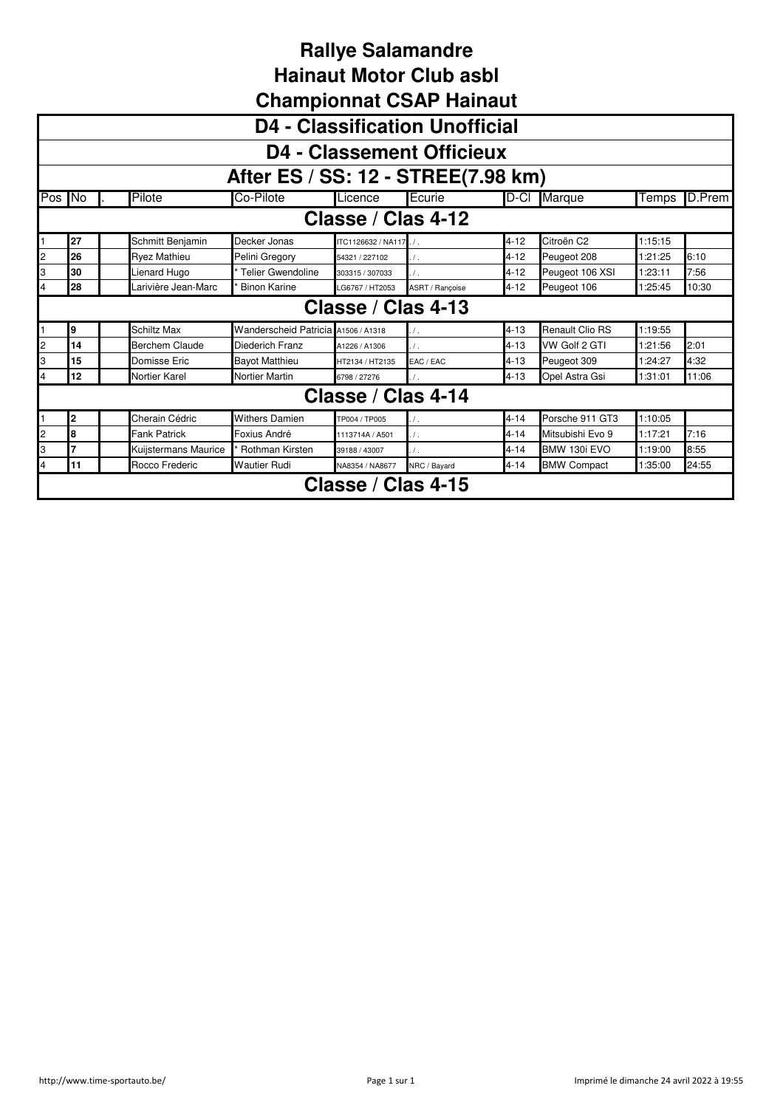|                |                                       |                      |                                     |                        | <b>UNGINATURITY OF LIGINAL</b> |          |                        |         |        |  |  |  |  |
|----------------|---------------------------------------|----------------------|-------------------------------------|------------------------|--------------------------------|----------|------------------------|---------|--------|--|--|--|--|
|                | <b>D4 - Classification Unofficial</b> |                      |                                     |                        |                                |          |                        |         |        |  |  |  |  |
|                | <b>D4 - Classement Officieux</b>      |                      |                                     |                        |                                |          |                        |         |        |  |  |  |  |
|                | After ES / SS: 12 - STREE(7.98 km)    |                      |                                     |                        |                                |          |                        |         |        |  |  |  |  |
|                | Pos No                                | Pilote               | Co-Pilote                           | Licence                | Ecurie                         | D-CI     | Marque                 | Temps   | D.Prem |  |  |  |  |
|                | Classe / Clas 4-12                    |                      |                                     |                        |                                |          |                        |         |        |  |  |  |  |
|                | 27                                    | Schmitt Benjamin     | Decker Jonas                        | ITC1126632 / NA117. /. |                                | $4 - 12$ | Citroën C <sub>2</sub> | 1:15:15 |        |  |  |  |  |
| 2              | 26                                    | <b>Ryez Mathieu</b>  | Pelini Gregory                      | 54321 / 227102         | $\prime$ .                     | $4 - 12$ | Peugeot 208            | 1:21:25 | 6:10   |  |  |  |  |
| 3              | 30                                    | Lienard Hugo         | Telier Gwendoline                   | 303315 / 307033        | $\prime$ .                     | $4 - 12$ | Peugeot 106 XSI        | 1:23:11 | 7:56   |  |  |  |  |
|                | 28                                    | Larivière Jean-Marc  | <b>Binon Karine</b>                 | LG6767 / HT2053        | ASRT / Rançoise                | $4 - 12$ | Peugeot 106            | 1:25:45 | 10:30  |  |  |  |  |
|                |                                       |                      |                                     | Classe / Clas 4-13     |                                |          |                        |         |        |  |  |  |  |
|                | 9                                     | <b>Schiltz Max</b>   | Wanderscheid Patricia A1506 / A1318 |                        | $\prime$ .                     | $4 - 13$ | Renault Clio RS        | 1:19:55 |        |  |  |  |  |
| 2              | 14                                    | Berchem Claude       | Diederich Franz                     | A1226 / A1306          | $\prime$ .                     | $4 - 13$ | VW Golf 2 GTI          | 1:21:56 | 2:01   |  |  |  |  |
| 3              | 15                                    | Domisse Eric         | <b>Bayot Matthieu</b>               | HT2134 / HT2135        | EAC / EAC                      | $4 - 13$ | Peugeot 309            | 1:24:27 | 4:32   |  |  |  |  |
| 4              | 12                                    | Nortier Karel        | <b>Nortier Martin</b>               | 6798 / 27276           |                                | $4 - 13$ | Opel Astra Gsi         | 1:31:01 | 11:06  |  |  |  |  |
|                |                                       |                      |                                     | Classe / Clas 4-14     |                                |          |                        |         |        |  |  |  |  |
|                | 2                                     | Cherain Cédric       | <b>Withers Damien</b>               | TP004 / TP005          | $\prime$ .                     | $4 - 14$ | Porsche 911 GT3        | 1:10:05 |        |  |  |  |  |
| $\overline{c}$ | l8                                    | <b>Fank Patrick</b>  | Foxius André                        | 1113714A / A501        | $\prime$ .                     | $4 - 14$ | Mitsubishi Evo 9       | 1:17:21 | 7:16   |  |  |  |  |
| 3              | 7                                     | Kuijstermans Maurice | Rothman Kirsten                     | 39188 / 43007          |                                | $4 - 14$ | BMW 130i EVO           | 1:19:00 | 8:55   |  |  |  |  |
| 4              | 11                                    | Rocco Frederic       | <b>Wautier Rudi</b>                 | NA8354 / NA8677        | NRC / Bayard                   | $4 - 14$ | <b>BMW Compact</b>     | 1:35:00 | 24:55  |  |  |  |  |
|                |                                       |                      |                                     | Classe / Clas 4-15     |                                |          |                        |         |        |  |  |  |  |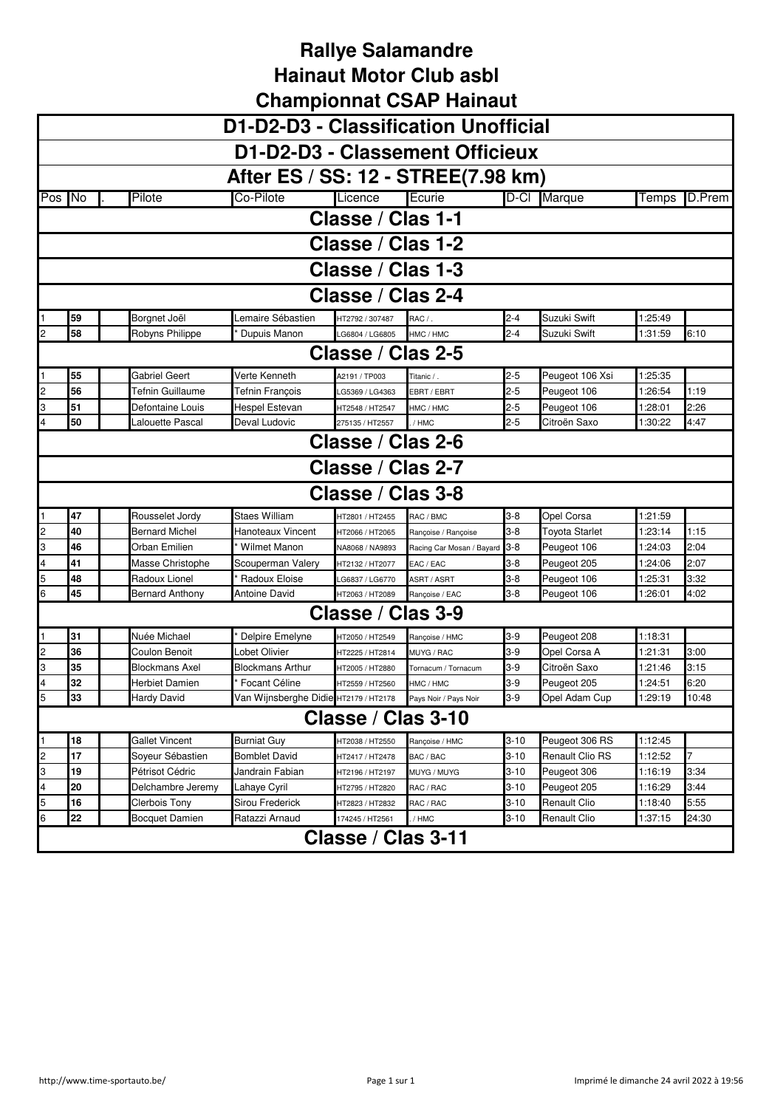|        |    |                       |                                                             |                    | D1-D2-D3 - Classification Unofficial |          |                 |         |        |
|--------|----|-----------------------|-------------------------------------------------------------|--------------------|--------------------------------------|----------|-----------------|---------|--------|
|        |    |                       |                                                             |                    | D1-D2-D3 - Classement Officieux      |          |                 |         |        |
|        |    |                       |                                                             |                    | After ES / SS: 12 - STREE(7.98 km)   |          |                 |         |        |
| Pos No |    | Pilote                | Co-Pilote                                                   | Licence            | Ecurie                               |          | D-Cl Marque     | Temps   | D.Prem |
|        |    |                       |                                                             | Classe / Clas 1-1  |                                      |          |                 |         |        |
|        |    |                       |                                                             | Classe / Clas 1-2  |                                      |          |                 |         |        |
|        |    |                       |                                                             |                    |                                      |          |                 |         |        |
|        |    |                       |                                                             | Classe / Clas 1-3  |                                      |          |                 |         |        |
|        |    |                       |                                                             | Classe / Clas 2-4  |                                      |          |                 |         |        |
|        | 59 | Borgnet Joël          | Lemaire Sébastien                                           | HT2792 / 307487    | RAC /                                | $2 - 4$  | Suzuki Swift    | 1:25:49 |        |
| 2      | 58 | Robyns Philippe       | Dupuis Manon                                                | LG6804 / LG6805    | HMC / HMC                            | $2 - 4$  | Suzuki Swift    | 1:31:59 | 6:10   |
|        |    |                       |                                                             | Classe / Clas 2-5  |                                      |          |                 |         |        |
|        | 55 | Gabriel Geert         | Verte Kenneth                                               | A2191 / TP003      | Titanic /                            | $2 - 5$  | Peugeot 106 Xsi | 1:25:35 |        |
| 2      | 56 | Tefnin Guillaume      | Tefnin François                                             | LG5369 / LG4363    | EBRT / EBRT                          | $2 - 5$  | Peugeot 106     | 1:26:54 | 1:19   |
| 3      | 51 | Defontaine Louis      | Hespel Estevan                                              | HT2548 / HT2547    | HMC / HMC                            | $2 - 5$  | Peugeot 106     | 1:28:01 | 2:26   |
|        | 50 | alouette Pascal       | Deval Ludovic                                               | 275135 / HT2557    | / HMC                                | $2 - 5$  | Citroën Saxo    | 1:30:22 | 4:47   |
|        |    |                       |                                                             | Classe / Clas 2-6  |                                      |          |                 |         |        |
|        |    |                       |                                                             | Classe / Clas 2-7  |                                      |          |                 |         |        |
|        |    |                       |                                                             | Classe / Clas 3-8  |                                      |          |                 |         |        |
|        | 47 | Rousselet Jordy       | <b>Staes William</b>                                        | HT2801 / HT2455    | RAC / BMC                            | 3-8      | Opel Corsa      | 1:21:59 |        |
| 2      | 40 | Bernard Michel        | <b>Hanoteaux Vincent</b>                                    | HT2066 / HT2065    | Rançoise / Rançoise                  | 3-8      | Toyota Starlet  | 1:23:14 | 1:15   |
| 3      | 46 | Orban Emilien         | Wilmet Manon                                                | NA8068 / NA9893    | Racing Car Mosan / Bayard            | 3-8      | Peugeot 106     | 1:24:03 | 2:04   |
| 4      | 41 | Masse Christophe      | Scouperman Valery                                           | HT2132 / HT2077    | EAC / EAC                            | 3-8      | Peugeot 205     | 1:24:06 | 2:07   |
| 5      | 48 | Radoux Lionel         | Radoux Eloise                                               | LG6837 / LG6770    | ASRT / ASRT                          | 3-8      | Peugeot 106     | 1:25:31 | 3:32   |
| 6      | 45 | Bernard Anthony       | Antoine David                                               | HT2063 / HT2089    | Rançoise / EAC                       | 3-8      | Peugeot 106     | 1:26:01 | 4:02   |
|        |    |                       |                                                             | Classe / Clas 3-9  |                                      |          |                 |         |        |
|        | 31 | Nuée Michael          | Delpire Emelyne                                             | HT2050 / HT2549    | Rancoise / HMC                       | $3-9$    | Peugeot 208     | 1:18:31 |        |
| 2      | 36 | Coulon Benoit         | Lobet Olivier                                               | HT2225 / HT2814    | MUYG / RAC                           | $3-9$    | Opel Corsa A    | 1:21:31 | 3:00   |
| 3      | 35 | <b>Blockmans Axel</b> | Blockmans Arthur                                            | HT2005 / HT2880    | Tornacum / Tornacum                  | 3-9      | Citroën Saxo    | 1:21:46 | 3:15   |
|        | 32 | Herbiet Damien        | Focant Céline                                               | HT2559 / HT2560    | HMC / HMC                            | 3-9      | Peugeot 205     | 1:24:51 | 6:20   |
| b      | 33 | <b>Hardy David</b>    | Van Wijnsberghe Didie HT2179 / HT2178 Pays Noir / Pays Noir |                    |                                      | 3-9      | Opel Adam Cup   | 1:29:19 | 10:48  |
|        |    |                       |                                                             | Classe / Clas 3-10 |                                      |          |                 |         |        |
|        | 18 | <b>Gallet Vincent</b> | <b>Burniat Guy</b>                                          | HT2038 / HT2550    | Rançoise / HMC                       | 3-10     | Peugeot 306 RS  | 1:12:45 |        |
| 2      | 17 | Soyeur Sébastien      | <b>Bomblet David</b>                                        | HT2417 / HT2478    | BAC / BAC                            | 3-10     | Renault Clio RS | 1:12:52 |        |
| 3      | 19 | Pétrisot Cédric       | Jandrain Fabian                                             | HT2196 / HT2197    | MUYG / MUYG                          | 3-10     | Peugeot 306     | 1:16:19 | 3:34   |
| 4      | 20 | Delchambre Jeremy     | Lahaye Cyril                                                | HT2795 / HT2820    | RAC / RAC                            | 3-10     | Peugeot 205     | 1:16:29 | 3:44   |
| 5      | 16 | Clerbois Tony         | Sirou Frederick                                             | HT2823 / HT2832    | RAC / RAC                            | $3 - 10$ | Renault Clio    | 1:18:40 | 5:55   |
| 6      | 22 | <b>Bocquet Damien</b> | Ratazzi Arnaud                                              | 174245 / HT2561    | / HMC                                | $3 - 10$ | Renault Clio    | 1:37:15 | 24:30  |
|        |    |                       |                                                             | Classe / Clas 3-11 |                                      |          |                 |         |        |